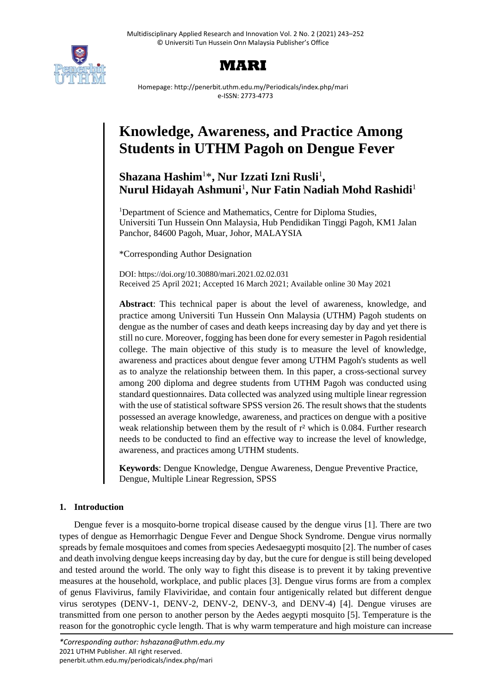

# **MARI**

Homepage: http://penerbit.uthm.edu.my/Periodicals/index.php/mari e-ISSN: 2773-4773

# **Knowledge, Awareness, and Practice Among Students in UTHM Pagoh on Dengue Fever**

# Shazana Hashim<sup>1\*</sup>, Nur Izzati Izni Rusli<sup>1</sup>, **Nurul Hidayah Ashmuni**<sup>1</sup> **, Nur Fatin Nadiah Mohd Rashidi**<sup>1</sup>

<sup>1</sup>Department of Science and Mathematics, Centre for Diploma Studies, Universiti Tun Hussein Onn Malaysia, Hub Pendidikan Tinggi Pagoh, KM1 Jalan Panchor, 84600 Pagoh, Muar, Johor, MALAYSIA

\*Corresponding Author Designation

DOI: https://doi.org/10.30880/mari.2021.02.02.031 Received 25 April 2021; Accepted 16 March 2021; Available online 30 May 2021

**Abstract**: This technical paper is about the level of awareness, knowledge, and practice among Universiti Tun Hussein Onn Malaysia (UTHM) Pagoh students on dengue as the number of cases and death keeps increasing day by day and yet there is still no cure. Moreover, fogging has been done for every semester in Pagoh residential college. The main objective of this study is to measure the level of knowledge, awareness and practices about dengue fever among UTHM Pagoh's students as well as to analyze the relationship between them. In this paper, a cross-sectional survey among 200 diploma and degree students from UTHM Pagoh was conducted using standard questionnaires. Data collected was analyzed using multiple linear regression with the use of statistical software SPSS version 26. The result shows that the students possessed an average knowledge, awareness, and practices on dengue with a positive weak relationship between them by the result of r² which is 0.084. Further research needs to be conducted to find an effective way to increase the level of knowledge, awareness, and practices among UTHM students.

**Keywords**: Dengue Knowledge, Dengue Awareness, Dengue Preventive Practice, Dengue, Multiple Linear Regression, SPSS

# **1. Introduction**

Dengue fever is a mosquito-borne tropical disease caused by the dengue virus [1]. There are two types of dengue as Hemorrhagic Dengue Fever and Dengue Shock Syndrome. Dengue virus normally spreads by female mosquitoes and comes from species Aedesaegypti mosquito [2]. The number of cases and death involving dengue keeps increasing day by day, but the cure for dengue is still being developed and tested around the world. The only way to fight this disease is to prevent it by taking preventive measures at the household, workplace, and public places [3]. Dengue virus forms are from a complex of genus Flavivirus, family Flaviviridae, and contain four antigenically related but different dengue virus serotypes (DENV-1, DENV-2, DENV-2, DENV-3, and DENV-4) [4]. Dengue viruses are transmitted from one person to another person by the Aedes aegypti mosquito [5]. Temperature is the reason for the gonotrophic cycle length. That is why warm temperature and high moisture can increase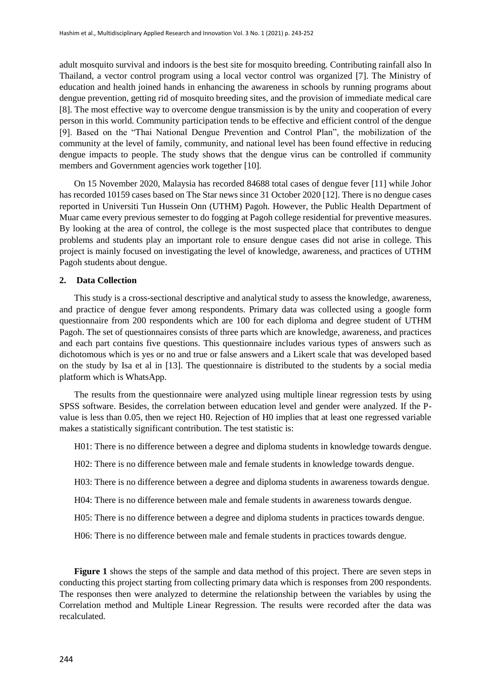adult mosquito survival and indoors is the best site for mosquito breeding. Contributing rainfall also In Thailand, a vector control program using a local vector control was organized [7]. The Ministry of education and health joined hands in enhancing the awareness in schools by running programs about dengue prevention, getting rid of mosquito breeding sites, and the provision of immediate medical care [8]. The most effective way to overcome dengue transmission is by the unity and cooperation of every person in this world. Community participation tends to be effective and efficient control of the dengue [9]. Based on the "Thai National Dengue Prevention and Control Plan", the mobilization of the community at the level of family, community, and national level has been found effective in reducing dengue impacts to people. The study shows that the dengue virus can be controlled if community members and Government agencies work together [10].

On 15 November 2020, Malaysia has recorded 84688 total cases of dengue fever [11] while Johor has recorded 10159 cases based on The Star news since 31 October 2020 [12]. There is no dengue cases reported in Universiti Tun Hussein Onn (UTHM) Pagoh. However, the Public Health Department of Muar came every previous semester to do fogging at Pagoh college residential for preventive measures. By looking at the area of control, the college is the most suspected place that contributes to dengue problems and students play an important role to ensure dengue cases did not arise in college. This project is mainly focused on investigating the level of knowledge, awareness, and practices of UTHM Pagoh students about dengue.

### **2. Data Collection**

This study is a cross-sectional descriptive and analytical study to assess the knowledge, awareness, and practice of dengue fever among respondents. Primary data was collected using a google form questionnaire from 200 respondents which are 100 for each diploma and degree student of UTHM Pagoh. The set of questionnaires consists of three parts which are knowledge, awareness, and practices and each part contains five questions. This questionnaire includes various types of answers such as dichotomous which is yes or no and true or false answers and a Likert scale that was developed based on the study by Isa et al in [13]. The questionnaire is distributed to the students by a social media platform which is WhatsApp.

The results from the questionnaire were analyzed using multiple linear regression tests by using SPSS software. Besides, the correlation between education level and gender were analyzed. If the Pvalue is less than 0.05, then we reject H0. Rejection of H0 implies that at least one regressed variable makes a statistically significant contribution. The test statistic is:

H01: There is no difference between a degree and diploma students in knowledge towards dengue.

H02: There is no difference between male and female students in knowledge towards dengue.

H03: There is no difference between a degree and diploma students in awareness towards dengue.

H04: There is no difference between male and female students in awareness towards dengue.

H05: There is no difference between a degree and diploma students in practices towards dengue.

H06: There is no difference between male and female students in practices towards dengue.

**Figure 1** shows the steps of the sample and data method of this project. There are seven steps in conducting this project starting from collecting primary data which is responses from 200 respondents. The responses then were analyzed to determine the relationship between the variables by using the Correlation method and Multiple Linear Regression. The results were recorded after the data was recalculated.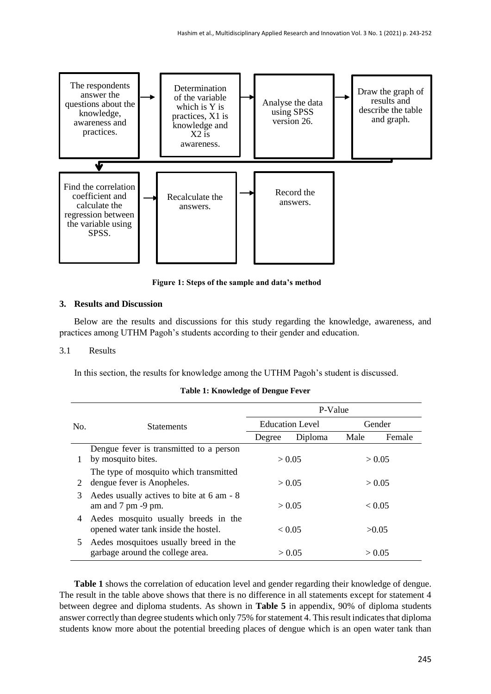

**Figure 1: Steps of the sample and data's method**

### **3. Results and Discussion**

Below are the results and discussions for this study regarding the knowledge, awareness, and practices among UTHM Pagoh's students according to their gender and education.

#### 3.1 Results

In this section, the results for knowledge among the UTHM Pagoh's student is discussed.

|     |                                                                                     | P-Value |                        |      |        |  |
|-----|-------------------------------------------------------------------------------------|---------|------------------------|------|--------|--|
| No. | <b>Statements</b>                                                                   |         | <b>Education Level</b> |      | Gender |  |
|     |                                                                                     | Degree  | Diploma                | Male | Female |  |
|     | Dengue fever is transmitted to a person                                             |         |                        |      |        |  |
|     | by mosquito bites.                                                                  |         | > 0.05                 |      | > 0.05 |  |
|     | The type of mosquito which transmitted                                              |         |                        |      |        |  |
| 2   | dengue fever is Anopheles.                                                          |         | > 0.05                 |      | > 0.05 |  |
| 3   | Aedes usually actives to bite at 6 am - 8<br>am and $7 \text{ pm} - 9 \text{ pm}$ . |         | > 0.05                 |      | < 0.05 |  |
| 4   | Aedes mosquito usually breeds in the<br>opened water tank inside the hostel.        |         | < 0.05                 |      | >0.05  |  |
| 5   | Aedes mosquitoes usually breed in the<br>garbage around the college area.           |         | > 0.05                 |      | > 0.05 |  |

#### **Table 1: Knowledge of Dengue Fever**

**Table 1** shows the correlation of education level and gender regarding their knowledge of dengue. The result in the table above shows that there is no difference in all statements except for statement 4 between degree and diploma students. As shown in **Table 5** in appendix, 90% of diploma students answer correctly than degree students which only 75% for statement 4. This result indicates that diploma students know more about the potential breeding places of dengue which is an open water tank than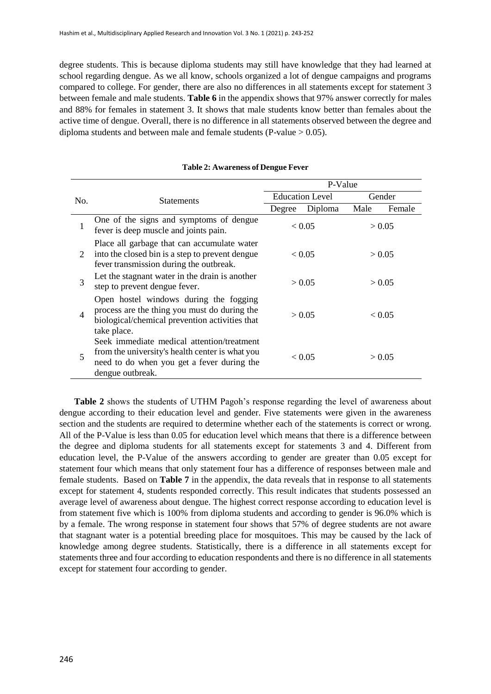degree students. This is because diploma students may still have knowledge that they had learned at school regarding dengue. As we all know, schools organized a lot of dengue campaigns and programs compared to college. For gender, there are also no differences in all statements except for statement 3 between female and male students. **Table 6** in the appendix shows that 97% answer correctly for males and 88% for females in statement 3. It shows that male students know better than females about the active time of dengue. Overall, there is no difference in all statements observed between the degree and diploma students and between male and female students (P-value  $> 0.05$ ).

|     |                                                                                                                                                                 | P-Value |                        |        |        |
|-----|-----------------------------------------------------------------------------------------------------------------------------------------------------------------|---------|------------------------|--------|--------|
| No. | <b>Statements</b>                                                                                                                                               |         | <b>Education Level</b> | Gender |        |
|     |                                                                                                                                                                 | Degree  | Diploma                | Male   | Female |
|     | One of the signs and symptoms of dengue<br>fever is deep muscle and joints pain.                                                                                |         | < 0.05                 |        | > 0.05 |
| 2   | Place all garbage that can accumulate water<br>into the closed bin is a step to prevent dengue<br>fever transmission during the outbreak.                       |         | < 0.05                 |        | > 0.05 |
| 3   | Let the stagnant water in the drain is another<br>step to prevent dengue fever.                                                                                 |         | > 0.05                 |        | > 0.05 |
| 4   | Open hostel windows during the fogging<br>process are the thing you must do during the<br>biological/chemical prevention activities that<br>take place.         |         | > 0.05                 |        | < 0.05 |
| 5   | Seek immediate medical attention/treatment<br>from the university's health center is what you<br>need to do when you get a fever during the<br>dengue outbreak. |         | < 0.05                 |        | > 0.05 |

#### **Table 2: Awareness of Dengue Fever**

**Table 2** shows the students of UTHM Pagoh's response regarding the level of awareness about dengue according to their education level and gender. Five statements were given in the awareness section and the students are required to determine whether each of the statements is correct or wrong. All of the P-Value is less than 0.05 for education level which means that there is a difference between the degree and diploma students for all statements except for statements 3 and 4. Different from education level, the P-Value of the answers according to gender are greater than 0.05 except for statement four which means that only statement four has a difference of responses between male and female students. Based on **Table 7** in the appendix, the data reveals that in response to all statements except for statement 4, students responded correctly. This result indicates that students possessed an average level of awareness about dengue. The highest correct response according to education level is from statement five which is 100% from diploma students and according to gender is 96.0% which is by a female. The wrong response in statement four shows that 57% of degree students are not aware that stagnant water is a potential breeding place for mosquitoes. This may be caused by the lack of knowledge among degree students. Statistically, there is a difference in all statements except for statements three and four according to education respondents and there is no difference in all statements except for statement four according to gender.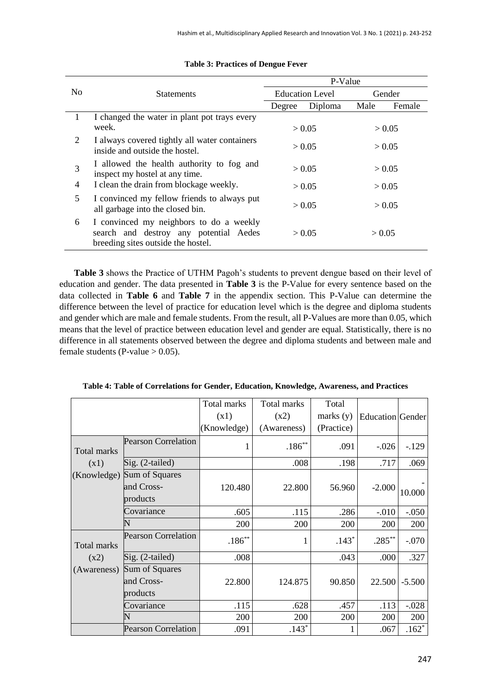|                |                                                                                                                         |                  | P-Value                |        |        |
|----------------|-------------------------------------------------------------------------------------------------------------------------|------------------|------------------------|--------|--------|
| N <sub>0</sub> | <b>Statements</b>                                                                                                       |                  | <b>Education Level</b> |        | Gender |
|                |                                                                                                                         | Degree           | Diploma                | Male   | Female |
|                | I changed the water in plant pot trays every<br>week.                                                                   |                  | > 0.05                 |        | > 0.05 |
| 2              | I always covered tightly all water containers<br>inside and outside the hostel.                                         | > 0.05<br>> 0.05 |                        |        |        |
| 3              | I allowed the health authority to fog and<br>inspect my hostel at any time.                                             | > 0.05           |                        |        | > 0.05 |
| 4              | I clean the drain from blockage weekly.                                                                                 | > 0.05           |                        |        | > 0.05 |
| 5              | I convinced my fellow friends to always put<br>all garbage into the closed bin.                                         | > 0.05           |                        | > 0.05 |        |
| 6              | I convinced my neighbors to do a weekly<br>search and destroy any potential Aedes<br>breeding sites outside the hostel. |                  | > 0.05                 | > 0.05 |        |

#### **Table 3: Practices of Dengue Fever**

**Table 3** shows the Practice of UTHM Pagoh's students to prevent dengue based on their level of education and gender. The data presented in **Table 3** is the P-Value for every sentence based on the data collected in **Table 6** and **Table 7** in the appendix section. This P-Value can determine the difference between the level of practice for education level which is the degree and diploma students and gender which are male and female students. From the result, all P-Values are more than 0.05, which means that the level of practice between education level and gender are equal. Statistically, there is no difference in all statements observed between the degree and diploma students and between male and female students (P-value  $> 0.05$ ).

|             |                            | Total marks<br>(x1) | Total marks<br>(x2) | Total<br>marks $(y)$ | <b>Education Gender</b> |          |
|-------------|----------------------------|---------------------|---------------------|----------------------|-------------------------|----------|
|             |                            | (Knowledge)         | (Awareness)         | (Practice)           |                         |          |
| Total marks | <b>Pearson Correlation</b> |                     | $.186**$            | .091                 | $-.026$                 | $-129$   |
| (x1)        | $Sig. (2-tailed)$          |                     | .008                | .198                 | .717                    | .069     |
| (Knowledge) | Sum of Squares             |                     |                     |                      |                         |          |
|             | and Cross-                 | 120.480             | 22.800              | 56.960               | $-2.000$                | 10.000   |
|             | products                   |                     |                     |                      |                         |          |
|             | Covariance                 | .605                | .115                | .286                 | $-.010$                 | $-.050$  |
|             | N                          | 200                 | 200                 | 200                  | 200                     | 200      |
| Total marks | <b>Pearson Correlation</b> | $.186***$           |                     | $.143*$              | $.285***$               | $-.070$  |
| (x2)        | $Sig. (2-tailed)$          | .008                |                     | .043                 | .000                    | .327     |
| (Awareness) | Sum of Squares             |                     |                     |                      |                         |          |
|             | and Cross-                 | 22.800              | 124.875             | 90.850               | 22.500                  | $-5.500$ |
|             | products                   |                     |                     |                      |                         |          |
|             | Covariance                 | .115                | .628                | .457                 | .113                    | $-.028$  |
|             |                            | 200                 | 200                 | 200                  | 200                     | 200      |
|             | <b>Pearson Correlation</b> | .091                | $.143*$             |                      | .067                    | $.162*$  |

**Table 4: Table of Correlations for Gender, Education, Knowledge, Awareness, and Practices**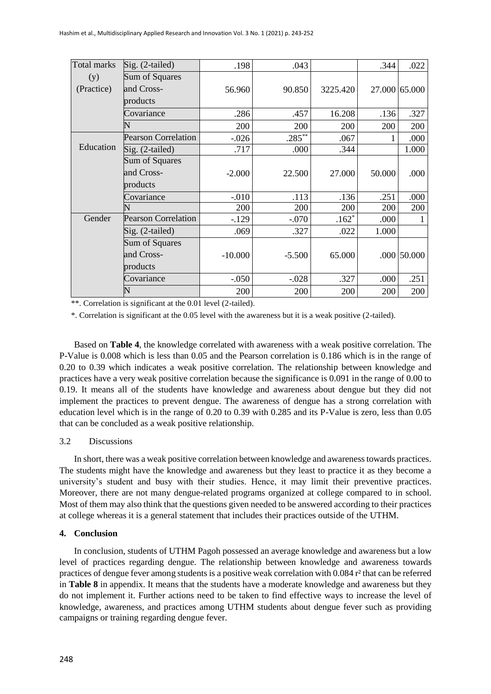| <b>Total marks</b> | Sig. (2-tailed)            | .198      | .043      |          | .344   | .022          |
|--------------------|----------------------------|-----------|-----------|----------|--------|---------------|
| (y)                | Sum of Squares             |           |           |          |        |               |
| (Practice)         | and Cross-                 | 56.960    | 90.850    | 3225.420 |        | 27.000 65.000 |
|                    | products                   |           |           |          |        |               |
|                    | Covariance                 | .286      | .457      | 16.208   | .136   | .327          |
|                    | N                          | 200       | 200       | 200      | 200    | 200           |
|                    | <b>Pearson Correlation</b> | $-.026$   | $.285***$ | .067     | 1      | .000          |
| Education          | Sig. (2-tailed)            | .717      | .000      | .344     |        | 1.000         |
|                    | Sum of Squares             |           |           |          |        |               |
|                    | and Cross-                 | $-2.000$  | 22.500    | 27.000   | 50.000 | .000          |
|                    | products                   |           |           |          |        |               |
|                    | Covariance                 | $-.010$   | .113      | .136     | .251   | .000          |
|                    |                            | 200       | 200       | 200      | 200    | 200           |
| Gender             | <b>Pearson Correlation</b> | $-129$    | $-.070$   | $.162*$  | .000   |               |
|                    | Sig. (2-tailed)            | .069      | .327      | .022     | 1.000  |               |
|                    | Sum of Squares             |           |           |          |        |               |
|                    | and Cross-                 | $-10.000$ | $-5.500$  | 65.000   |        | $.000$ 50.000 |
|                    | products                   |           |           |          |        |               |
|                    | Covariance                 | $-.050$   | $-.028$   | .327     | .000   | .251          |
|                    | N                          | 200       | 200       | 200      | 200    | 200           |

\*\*. Correlation is significant at the 0.01 level (2-tailed).

\*. Correlation is significant at the 0.05 level with the awareness but it is a weak positive (2-tailed).

Based on **Table 4**, the knowledge correlated with awareness with a weak positive correlation. The P-Value is 0.008 which is less than 0.05 and the Pearson correlation is 0.186 which is in the range of 0.20 to 0.39 which indicates a weak positive correlation. The relationship between knowledge and practices have a very weak positive correlation because the significance is 0.091 in the range of 0.00 to 0.19. It means all of the students have knowledge and awareness about dengue but they did not implement the practices to prevent dengue. The awareness of dengue has a strong correlation with education level which is in the range of 0.20 to 0.39 with 0.285 and its P-Value is zero, less than 0.05 that can be concluded as a weak positive relationship.

### 3.2 Discussions

In short, there was a weak positive correlation between knowledge and awareness towards practices. The students might have the knowledge and awareness but they least to practice it as they become a university's student and busy with their studies. Hence, it may limit their preventive practices. Moreover, there are not many dengue-related programs organized at college compared to in school. Most of them may also think that the questions given needed to be answered according to their practices at college whereas it is a general statement that includes their practices outside of the UTHM.

### **4. Conclusion**

In conclusion, students of UTHM Pagoh possessed an average knowledge and awareness but a low level of practices regarding dengue. The relationship between knowledge and awareness towards practices of dengue fever among students is a positive weak correlation with 0.084 r² that can be referred in **Table 8** in appendix. It means that the students have a moderate knowledge and awareness but they do not implement it. Further actions need to be taken to find effective ways to increase the level of knowledge, awareness, and practices among UTHM students about dengue fever such as providing campaigns or training regarding dengue fever.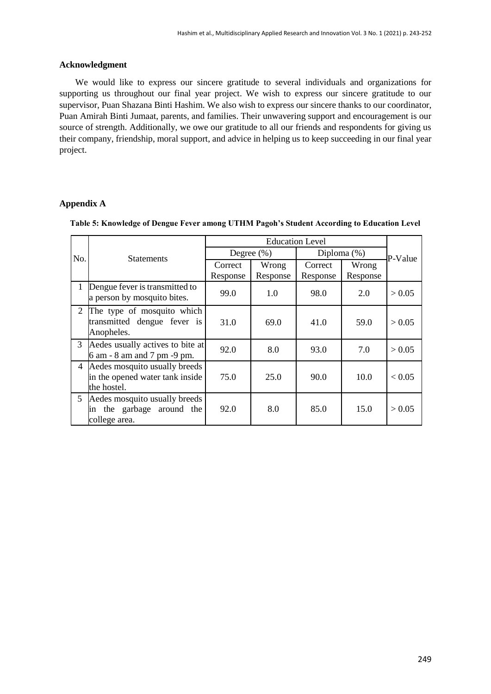### **Acknowledgment**

 We would like to express our sincere gratitude to several individuals and organizations for supporting us throughout our final year project. We wish to express our sincere gratitude to our supervisor, Puan Shazana Binti Hashim. We also wish to express our sincere thanks to our coordinator, Puan Amirah Binti Jumaat, parents, and families. Their unwavering support and encouragement is our source of strength. Additionally, we owe our gratitude to all our friends and respondents for giving us their company, friendship, moral support, and advice in helping us to keep succeeding in our final year project.

# **Appendix A**

| No.            | <b>Statements</b>                                                               |                     | Degree $(\%)$     | Diploma $(\%)$      |                   | P-Value |
|----------------|---------------------------------------------------------------------------------|---------------------|-------------------|---------------------|-------------------|---------|
|                |                                                                                 | Correct<br>Response | Wrong<br>Response | Correct<br>Response | Wrong<br>Response |         |
|                | Dengue fever is transmitted to<br>a person by mosquito bites.                   | 99.0                | 1.0               | 98.0                | 2.0               | > 0.05  |
| 2              | The type of mosquito which<br>transmitted dengue fever is<br>Anopheles.         | 31.0                | 69.0              | 41.0                | 59.0              | > 0.05  |
| 3              | Aedes usually actives to bite at<br>6 am - 8 am and 7 pm -9 pm.                 | 92.0                | 8.0               | 93.0                | 7.0               | > 0.05  |
| $\overline{4}$ | Aedes mosquito usually breeds<br>in the opened water tank inside<br>the hostel. | 75.0                | 25.0              | 90.0                | 10.0              | < 0.05  |
| 5              | Aedes mosquito usually breeds<br>the garbage around the<br>ın<br>college area.  | 92.0                | 8.0               | 85.0                | 15.0              | > 0.05  |

#### **Table 5: Knowledge of Dengue Fever among UTHM Pagoh's Student According to Education Level**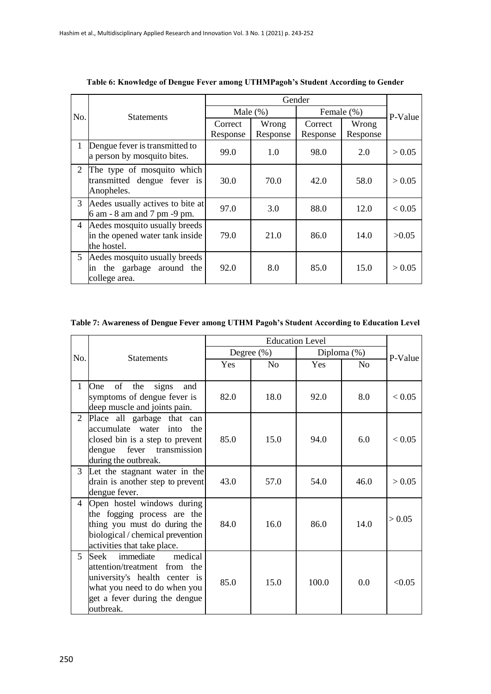|                | Gender                                                                          |                     |                   |                     |                   |        |
|----------------|---------------------------------------------------------------------------------|---------------------|-------------------|---------------------|-------------------|--------|
| No.            | <b>Statements</b>                                                               |                     | Male $(\%)$       | Female (%)          | P-Value           |        |
|                |                                                                                 | Correct<br>Response | Wrong<br>Response | Correct<br>Response | Wrong<br>Response |        |
|                | Dengue fever is transmitted to<br>a person by mosquito bites.                   | 99.0                | 1.0               | 98.0                | 2.0               | > 0.05 |
| 2              | The type of mosquito which<br>transmitted dengue fever is<br>Anopheles.         | 30.0                | 70.0              | 42.0                | 58.0              | > 0.05 |
| 3              | Aedes usually actives to bite at<br>6 am - 8 am and 7 pm -9 pm.                 | 97.0                | 3.0               | 88.0                | 12.0              | < 0.05 |
| $\overline{4}$ | Aedes mosquito usually breeds<br>in the opened water tank inside<br>the hostel. | 79.0                | 21.0              | 86.0                | 14.0              | >0.05  |
|                | 5 Aedes mosquito usually breeds<br>in the garbage around the<br>college area.   | 92.0                | 8.0               | 85.0                | 15.0              | > 0.05 |

**Table 6: Knowledge of Dengue Fever among UTHMPagoh's Student According to Gender**

## **Table 7: Awareness of Dengue Fever among UTHM Pagoh's Student According to Education Level**

| No.            | <b>Statements</b>                                                                                                                                                           |            | Degree (%) |       | Diploma $(\%)$     | P-Value |
|----------------|-----------------------------------------------------------------------------------------------------------------------------------------------------------------------------|------------|------------|-------|--------------------|---------|
|                |                                                                                                                                                                             | <b>Yes</b> | No         | Yes   | $\overline{N}_{0}$ |         |
| 1              | of<br>One<br>the<br>signs<br>and<br>symptoms of dengue fever is<br>deep muscle and joints pain.                                                                             | 82.0       | 18.0       | 92.0  | 8.0                | < 0.05  |
| 2              | Place all garbage that can<br>accumulate water into<br>the<br>closed bin is a step to prevent<br>transmission<br>fever<br>dengue<br>during the outbreak.                    | 85.0       | 15.0       | 94.0  | 6.0                | < 0.05  |
| 3              | Let the stagnant water in the<br>drain is another step to prevent<br>dengue fever.                                                                                          | 43.0       | 57.0       | 54.0  | 46.0               | > 0.05  |
| $\overline{4}$ | Open hostel windows during<br>the fogging process are the<br>thing you must do during the<br>biological / chemical prevention<br>activities that take place.                | 84.0       | 16.0       | 86.0  | 14.0               | > 0.05  |
| 5              | medical<br>immediate<br>Seek<br>attention/treatment from the<br>university's health center is<br>what you need to do when you<br>get a fever during the dengue<br>outbreak. | 85.0       | 15.0       | 100.0 | 0.0                | < 0.05  |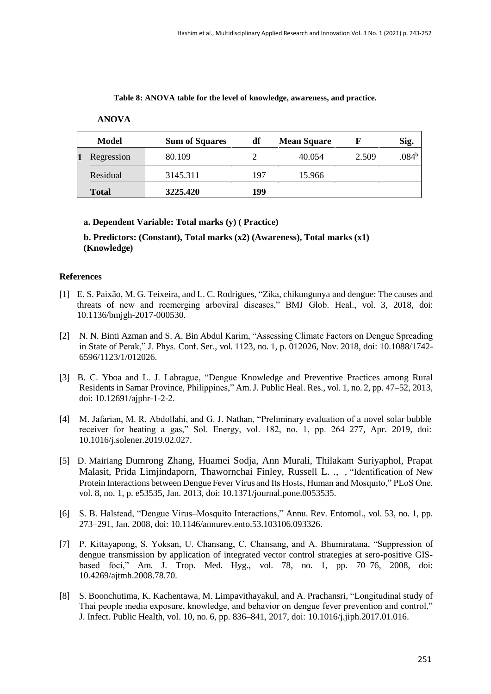**Table 8: ANOVA table for the level of knowledge, awareness, and practice.**

| Model        | <b>Sum of Squares</b> | df  | <b>Mean Square</b> |       | Sig.           |
|--------------|-----------------------|-----|--------------------|-------|----------------|
| Regression   | 80.109                |     | 40.054             | 2.509 | $.084^{\rm b}$ |
| Residual     | 3145.311              | 197 | 15.966             |       |                |
| <b>Total</b> | 3225.420              | 199 |                    |       |                |

### **ANOVA**

## **a. Dependent Variable: Total marks (y) ( Practice)**

**b. Predictors: (Constant), Total marks (x2) (Awareness), Total marks (x1) (Knowledge)**

### **References**

- [1] E. S. Paixão, M. G. Teixeira, and L. C. Rodrigues, "Zika, chikungunya and dengue: The causes and threats of new and reemerging arboviral diseases," BMJ Glob. Heal., vol. 3, 2018, doi: 10.1136/bmjgh-2017-000530.
- [2] N. N. Binti Azman and S. A. Bin Abdul Karim, "Assessing Climate Factors on Dengue Spreading in State of Perak," J. Phys. Conf. Ser., vol. 1123, no. 1, p. 012026, Nov. 2018, doi: 10.1088/1742- 6596/1123/1/012026.
- [3] B. C. Yboa and L. J. Labrague, "Dengue Knowledge and Preventive Practices among Rural Residents in Samar Province, Philippines," Am.J. Public Heal. Res., vol. 1, no. 2, pp. 47–52, 2013, doi: 10.12691/ajphr-1-2-2.
- [4] M. Jafarian, M. R. Abdollahi, and G. J. Nathan, "Preliminary evaluation of a novel solar bubble receiver for heating a gas," Sol. Energy, vol. 182, no. 1, pp. 264–277, Apr. 2019, doi: 10.1016/j.solener.2019.02.027.
- [5] D. Mairiang Dumrong Zhang, Huamei Sodja, Ann Murali, Thilakam Suriyaphol, Prapat Malasit, Prida Limjindaporn, Thawornchai Finley, Russell L. *.*, , "Identification of New Protein Interactions between Dengue Fever Virus and Its Hosts, Human and Mosquito," PLoS One, vol. 8, no. 1, p. e53535, Jan. 2013, doi: 10.1371/journal.pone.0053535.
- [6] S. B. Halstead, "Dengue Virus–Mosquito Interactions," Annu. Rev. Entomol., vol. 53, no. 1, pp. 273–291, Jan. 2008, doi: 10.1146/annurev.ento.53.103106.093326.
- [7] P. Kittayapong, S. Yoksan, U. Chansang, C. Chansang, and A. Bhumiratana, "Suppression of dengue transmission by application of integrated vector control strategies at sero-positive GISbased foci," Am. J. Trop. Med. Hyg., vol. 78, no. 1, pp. 70–76, 2008, doi: 10.4269/ajtmh.2008.78.70.
- [8] S. Boonchutima, K. Kachentawa, M. Limpavithayakul, and A. Prachansri, "Longitudinal study of Thai people media exposure, knowledge, and behavior on dengue fever prevention and control," J. Infect. Public Health, vol. 10, no. 6, pp. 836–841, 2017, doi: 10.1016/j.jiph.2017.01.016.